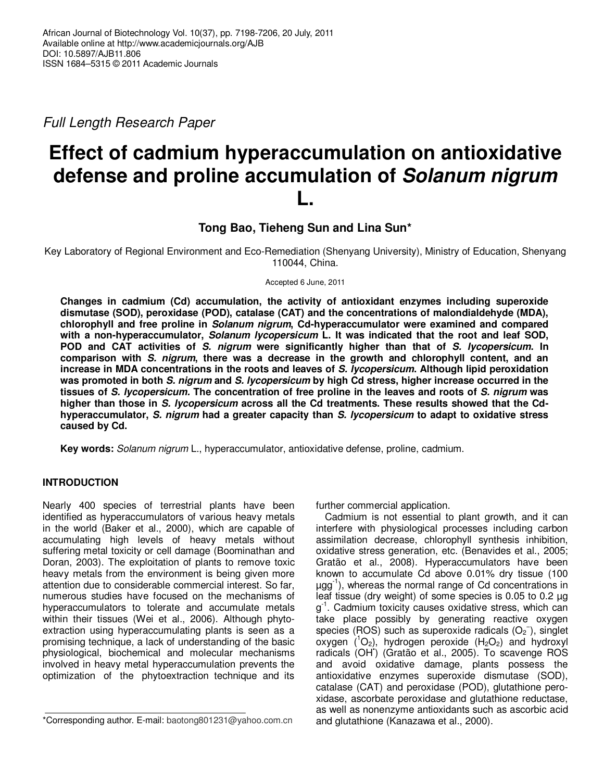Full Length Research Paper

# **Effect of cadmium hyperaccumulation on antioxidative defense and proline accumulation of Solanum nigrum L.**

**Tong Bao, Tieheng Sun and Lina Sun\*** 

Key Laboratory of Regional Environment and Eco-Remediation (Shenyang University), Ministry of Education, Shenyang 110044, China.

Accepted 6 June, 2011

**Changes in cadmium (Cd) accumulation, the activity of antioxidant enzymes including superoxide dismutase (SOD), peroxidase (POD), catalase (CAT) and the concentrations of malondialdehyde (MDA), chlorophyll and free proline in Solanum nigrum, Cd-hyperaccumulator were examined and compared with a non-hyperaccumulator, Solanum lycopersicum L. It was indicated that the root and leaf SOD, POD and CAT activities of S. nigrum were significantly higher than that of S. lycopersicum. In comparison with S. nigrum, there was a decrease in the growth and chlorophyll content, and an increase in MDA concentrations in the roots and leaves of S. lycopersicum. Although lipid peroxidation was promoted in both S. nigrum and S. lycopersicum by high Cd stress, higher increase occurred in the tissues of S. lycopersicum. The concentration of free proline in the leaves and roots of S. nigrum was higher than those in S. lycopersicum across all the Cd treatments. These results showed that the Cdhyperaccumulator, S. nigrum had a greater capacity than S. lycopersicum to adapt to oxidative stress caused by Cd.** 

**Key words:** Solanum nigrum L., hyperaccumulator, antioxidative defense, proline, cadmium.

# **INTRODUCTION**

Nearly 400 species of terrestrial plants have been identified as hyperaccumulators of various heavy metals in the world (Baker et al., 2000), which are capable of accumulating high levels of heavy metals without suffering metal toxicity or cell damage (Boominathan and Doran, 2003). The exploitation of plants to remove toxic heavy metals from the environment is being given more attention due to considerable commercial interest. So far, numerous studies have focused on the mechanisms of hyperaccumulators to tolerate and accumulate metals within their tissues (Wei et al., 2006). Although phytoextraction using hyperaccumulating plants is seen as a promising technique, a lack of understanding of the basic physiological, biochemical and molecular mechanisms involved in heavy metal hyperaccumulation prevents the optimization of the phytoextraction technique and its

further commercial application.

Cadmium is not essential to plant growth, and it can interfere with physiological processes including carbon assimilation decrease, chlorophyll synthesis inhibition, oxidative stress generation, etc. (Benavides et al., 2005; Gratão et al., 2008). Hyperaccumulators have been known to accumulate Cd above 0.01% dry tissue (100  $\mu$ gg<sup>-1</sup>), whereas the normal range of Cd concentrations in leaf tissue (dry weight) of some species is 0.05 to 0.2 µg g<sup>-1</sup>. Cadmium toxicity causes oxidative stress, which can take place possibly by generating reactive oxygen species (ROS) such as superoxide radicals  $(O_2^-)$ , singlet oxygen  $(^1O_2)$ , hydrogen peroxide  $(H_2O_2)$  and hydroxyl radicals (OH• ) (Gratão et al., 2005). To scavenge ROS and avoid oxidative damage, plants possess the antioxidative enzymes superoxide dismutase (SOD), catalase (CAT) and peroxidase (POD), glutathione peroxidase, ascorbate peroxidase and glutathione reductase, as well as nonenzyme antioxidants such as ascorbic acid and glutathione (Kanazawa et al., 2000).

<sup>\*</sup>Corresponding author. E-mail: baotong801231@yahoo.com.cn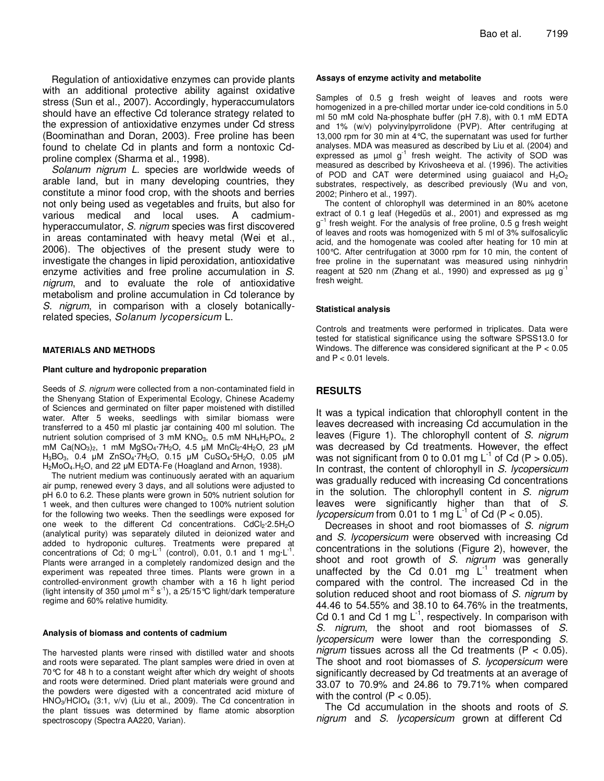Regulation of antioxidative enzymes can provide plants with an additional protective ability against oxidative stress (Sun et al., 2007). Accordingly, hyperaccumulators should have an effective Cd tolerance strategy related to the expression of antioxidative enzymes under Cd stress (Boominathan and Doran, 2003). Free proline has been found to chelate Cd in plants and form a nontoxic Cdproline complex (Sharma et al., 1998).

Solanum nigrum L. species are worldwide weeds of arable land, but in many developing countries, they constitute a minor food crop, with the shoots and berries not only being used as vegetables and fruits, but also for various medical and local uses. A cadmiumhyperaccumulator, S. nigrum species was first discovered in areas contaminated with heavy metal (Wei et al., 2006). The objectives of the present study were to investigate the changes in lipid peroxidation, antioxidative enzyme activities and free proline accumulation in S. nigrum, and to evaluate the role of antioxidative metabolism and proline accumulation in Cd tolerance by S. nigrum, in comparison with a closely botanicallyrelated species, Solanum lycopersicum L.

#### **MATERIALS AND METHODS**

#### **Plant culture and hydroponic preparation**

Seeds of S. nigrum were collected from a non-contaminated field in the Shenyang Station of Experimental Ecology, Chinese Academy of Sciences and germinated on filter paper moistened with distilled water. After 5 weeks, seedlings with similar biomass were transferred to a 450 ml plastic jar containing 400 ml solution. The nutrient solution comprised of 3 mM  $KNO<sub>3</sub>$ , 0.5 mM  $NH<sub>4</sub>H<sub>2</sub>PO<sub>4</sub>$ , 2 mM Ca(NO<sub>3</sub>)<sub>2</sub>, 1 mM MgSO<sub>4</sub>·7H<sub>2</sub>O, 4.5 µM MnCl<sub>2</sub>·4H<sub>2</sub>O, 23 µM H3BO3, 0.4 µM ZnSO4·7H2O, 0.15 µM CuSO4·5H2O, 0.05 µM H<sub>2</sub>MoO<sub>4</sub>.H<sub>2</sub>O, and 22 µM EDTA-Fe (Hoagland and Arnon, 1938).

The nutrient medium was continuously aerated with an aquarium air pump, renewed every 3 days, and all solutions were adjusted to pH 6.0 to 6.2. These plants were grown in 50% nutrient solution for 1 week, and then cultures were changed to 100% nutrient solution for the following two weeks. Then the seedlings were exposed for one week to the different Cd concentrations.  $CdCl<sub>2</sub>·2.5H<sub>2</sub>O$ (analytical purity) was separately diluted in deionized water and added to hydroponic cultures. Treatments were prepared at concentrations of Cd; 0 mg $L^{-1}$  (control), 0.01, 0.1 and 1 mg $L^{-1}$ . Plants were arranged in a completely randomized design and the experiment was repeated three times. Plants were grown in a controlled-environment growth chamber with a 16 h light period (light intensity of 350 µmol m<sup>-2</sup> s<sup>-1</sup>), a 25/15°C light/dark temperature regime and 60% relative humidity.

#### **Analysis of biomass and contents of cadmium**

The harvested plants were rinsed with distilled water and shoots and roots were separated. The plant samples were dried in oven at 70°C for 48 h to a constant weight after which dry weight of shoots and roots were determined. Dried plant materials were ground and the powders were digested with a concentrated acid mixture of  $HNO<sub>3</sub>/HClO<sub>4</sub>$  (3:1, v/v) (Liu et al., 2009). The Cd concentration in the plant tissues was determined by flame atomic absorption spectroscopy (Spectra AA220, Varian).

#### **Assays of enzyme activity and metabolite**

Samples of 0.5 g fresh weight of leaves and roots were homogenized in a pre-chilled mortar under ice-cold conditions in 5.0 ml 50 mM cold Na-phosphate buffer (pH 7.8), with 0.1 mM EDTA and 1% (w/v) polyvinylpyrrolidone (PVP). After centrifuging at 13,000 rpm for 30 min at 4°C, the supernatant was used for further analyses. MDA was measured as described by Liu et al. (2004) and expressed as  $\mu$ mol g<sup>-1</sup> fresh weight. The activity of SOD was measured as described by Krivosheeva et al. (1996). The activities of POD and CAT were determined using guaiacol and  $H_2O_2$ substrates, respectively, as described previously (Wu and von, 2002; Pinhero et al., 1997).

The content of chlorophyll was determined in an 80% acetone extract of 0.1 g leaf (Hegedüs et al., 2001) and expressed as mg g<sup>-1</sup> fresh weight. For the analysis of free proline, 0.5 g fresh weight of leaves and roots was homogenized with 5 ml of 3% sulfosalicylic acid, and the homogenate was cooled after heating for 10 min at 100°C. After centrifugation at 3000 rpm for 10 min, the content of free proline in the supernatant was measured using ninhydrin reagent at 520 nm (Zhang et al., 1990) and expressed as  $\mu$ g g<sup>-1</sup> fresh weight.

#### **Statistical analysis**

Controls and treatments were performed in triplicates. Data were tested for statistical significance using the software SPSS13.0 for Windows. The difference was considered significant at the P < 0.05 and  $P < 0.01$  levels.

## **RESULTS**

It was a typical indication that chlorophyll content in the leaves decreased with increasing Cd accumulation in the leaves (Figure 1). The chlorophyll content of S. nigrum was decreased by Cd treatments. However, the effect was not significant from 0 to 0.01 mg  $L^{-1}$  of Cd (P > 0.05). In contrast, the content of chlorophyll in S. lycopersicum was gradually reduced with increasing Cd concentrations in the solution. The chlorophyll content in S. nigrum leaves were significantly higher than that of S. *lycopersicum* from 0.01 to 1 mg  $L^{-1}$  of Cd (P < 0.05).

Decreases in shoot and root biomasses of S. nigrum and S. lycopersicum were observed with increasing Cd concentrations in the solutions (Figure 2), however, the shoot and root growth of S. nigrum was generally unaffected by the Cd 0.01 mg  $L^{-1}$  treatment when compared with the control. The increased Cd in the solution reduced shoot and root biomass of S. nigrum by 44.46 to 54.55% and 38.10 to 64.76% in the treatments, Cd 0.1 and Cd 1 mg  $L^{-1}$ , respectively. In comparison with S. nigrum, the shoot and root biomasses of S. lycopersicum were lower than the corresponding S. nigrum tissues across all the Cd treatments ( $P < 0.05$ ). The shoot and root biomasses of S. lycopersicum were significantly decreased by Cd treatments at an average of 33.07 to 70.9% and 24.86 to 79.71% when compared with the control  $(P < 0.05)$ .

The Cd accumulation in the shoots and roots of S. nigrum and S. lycopersicum grown at different Cd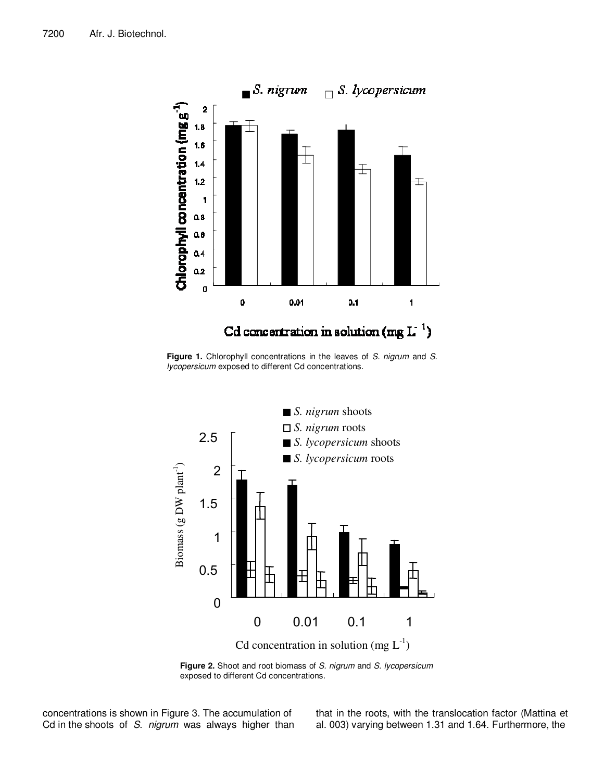

Figure 1. Chlorophyll concentrations in the leaves of S. nigrum and S. lycopersicum exposed to different Cd concentrations.



Figure 2. Shoot and root biomass of S. nigrum and S. lycopersicum exposed to different Cd concentrations.

concentrations is shown in Figure 3. The accumulation of Cd in the shoots of S. nigrum was always higher than that in the roots, with the translocation factor (Mattina et al. 003) varying between 1.31 and 1.64. Furthermore, the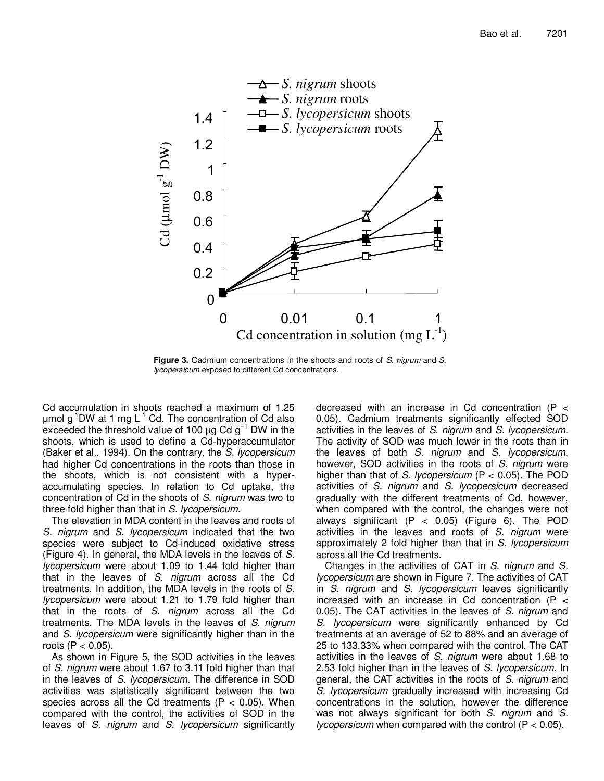

**Figure 3.** Cadmium concentrations in the shoots and roots of S. nigrum and S. lycopersicum exposed to different Cd concentrations.

Cd accumulation in shoots reached a maximum of 1.25  $\mu$ mol g<sup>-1</sup>DW at 1 mg L<sup>-1</sup> Cd. The concentration of Cd also exceeded the threshold value of 100  $\mu$ g Cd g<sup>-1</sup> DW in the shoots, which is used to define a Cd-hyperaccumulator (Baker et al., 1994). On the contrary, the S. lycopersicum had higher Cd concentrations in the roots than those in the shoots, which is not consistent with a hyperaccumulating species. In relation to Cd uptake, the concentration of Cd in the shoots of S. nigrum was two to three fold higher than that in S. lycopersicum.

The elevation in MDA content in the leaves and roots of S. nigrum and S. lycopersicum indicated that the two species were subject to Cd-induced oxidative stress (Figure 4). In general, the MDA levels in the leaves of S. lycopersicum were about 1.09 to 1.44 fold higher than that in the leaves of S. nigrum across all the Cd treatments. In addition, the MDA levels in the roots of S. lycopersicum were about 1.21 to 1.79 fold higher than that in the roots of S. nigrum across all the Cd treatments. The MDA levels in the leaves of S. nigrum and S. lycopersicum were significantly higher than in the roots  $(P < 0.05)$ .

As shown in Figure 5, the SOD activities in the leaves of S. nigrum were about 1.67 to 3.11 fold higher than that in the leaves of S. lycopersicum. The difference in SOD activities was statistically significant between the two species across all the Cd treatments ( $P < 0.05$ ). When compared with the control, the activities of SOD in the leaves of S. nigrum and S. lycopersicum significantly decreased with an increase in Cd concentration (P < 0.05). Cadmium treatments significantly effected SOD activities in the leaves of S. nigrum and S. lycopersicum. The activity of SOD was much lower in the roots than in the leaves of both S. nigrum and S. lycopersicum, however, SOD activities in the roots of S. nigrum were higher than that of S. lycopersicum ( $P < 0.05$ ). The POD activities of S. nigrum and S. lycopersicum decreased gradually with the different treatments of Cd, however, when compared with the control, the changes were not always significant (P < 0.05) (Figure 6). The POD activities in the leaves and roots of S. nigrum were approximately 2 fold higher than that in S. lycopersicum across all the Cd treatments.

Changes in the activities of CAT in S. nigrum and S. lycopersicum are shown in Figure 7. The activities of CAT in S. nigrum and S. lycopersicum leaves significantly increased with an increase in Cd concentration (P < 0.05). The CAT activities in the leaves of S. nigrum and S. lycopersicum were significantly enhanced by Cd treatments at an average of 52 to 88% and an average of 25 to 133.33% when compared with the control. The CAT activities in the leaves of S. nigrum were about 1.68 to 2.53 fold higher than in the leaves of S. lycopersicum. In general, the CAT activities in the roots of S. nigrum and S. lycopersicum gradually increased with increasing Cd concentrations in the solution, however the difference was not always significant for both S. nigrum and S. *lycopersicum* when compared with the control  $(P < 0.05)$ .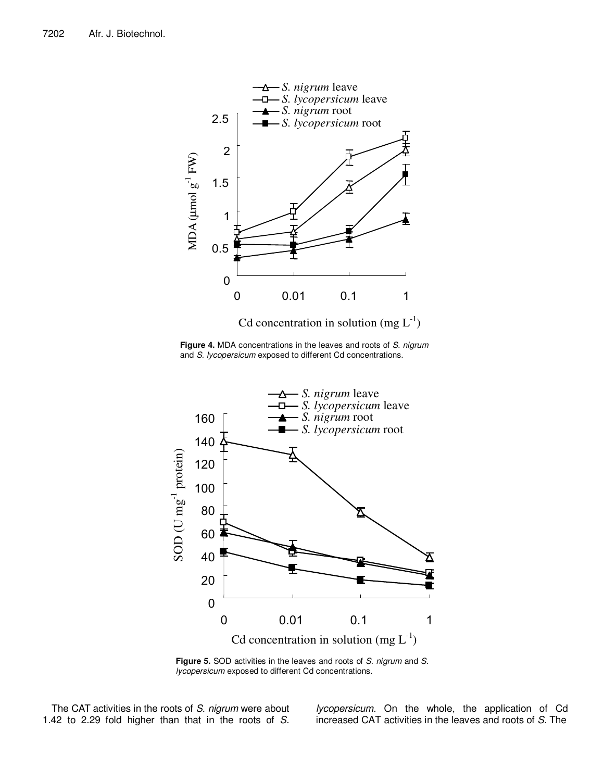

**Figure 4.** MDA concentrations in the leaves and roots of S. nigrum and S. lycopersicum exposed to different Cd concentrations.



Figure 5. SOD activities in the leaves and roots of S. nigrum and S. lycopersicum exposed to different Cd concentrations.

The CAT activities in the roots of S. nigrum were about 1.42 to 2.29 fold higher than that in the roots of S.

lycopersicum. On the whole, the application of Cd increased CAT activities in the leaves and roots of S. The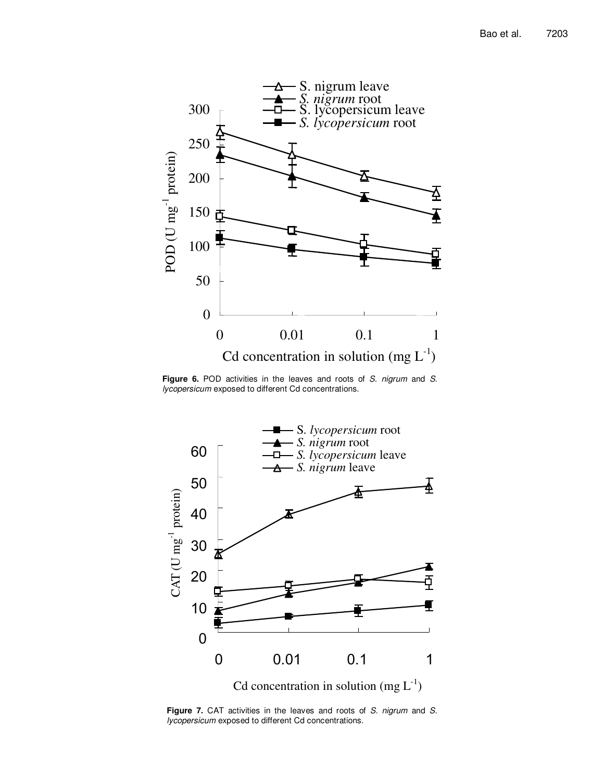

Figure 6. POD activities in the leaves and roots of S. nigrum and S. lycopersicum exposed to different Cd concentrations.



Figure 7. CAT activities in the leaves and roots of S. nigrum and S. lycopersicum exposed to different Cd concentrations.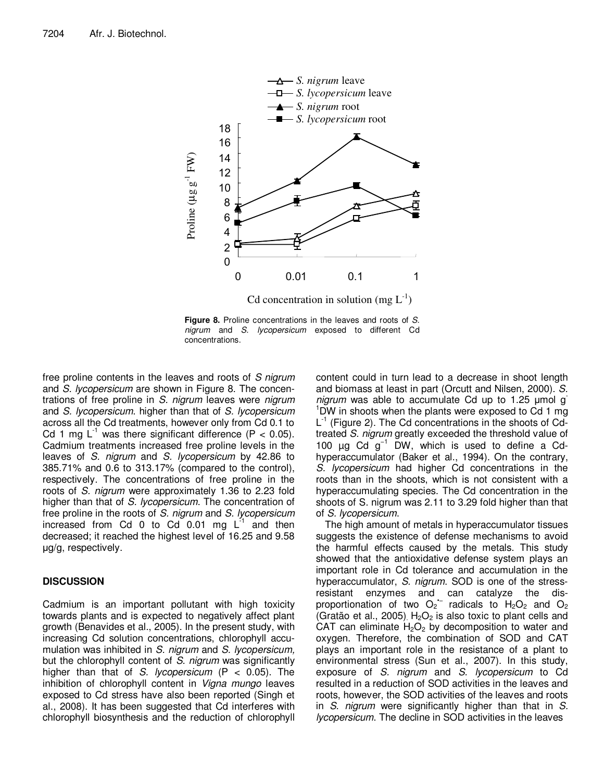

**Figure 8.** Proline concentrations in the leaves and roots of S. nigrum and S. lycopersicum exposed to different Cd concentrations.

free proline contents in the leaves and roots of S nigrum and S. lycopersicum are shown in Figure 8. The concentrations of free proline in S. nigrum leaves were nigrum and S. lycopersicum. higher than that of S. lycopersicum across all the Cd treatments, however only from Cd 0.1 to Cd 1 mg  $L^{-1}$  was there significant difference (P < 0.05). Cadmium treatments increased free proline levels in the leaves of S. nigrum and S. lycopersicum by 42.86 to 385.71% and 0.6 to 313.17% (compared to the control), respectively. The concentrations of free proline in the roots of S. nigrum were approximately 1.36 to 2.23 fold higher than that of S. lycopersicum. The concentration of free proline in the roots of S. nigrum and S. lycopersicum increased from Cd  $0$  to Cd  $0.01$  mg  $L^{-1}$  and then decreased; it reached the highest level of 16.25 and 9.58 µg/g, respectively.

# **DISCUSSION**

Cadmium is an important pollutant with high toxicity towards plants and is expected to negatively affect plant growth (Benavides et al., 2005). In the present study, with increasing Cd solution concentrations, chlorophyll accumulation was inhibited in S. nigrum and S. lycopersicum, but the chlorophyll content of S. nigrum was significantly higher than that of S. lycopersicum (P  $<$  0.05). The inhibition of chlorophyll content in Vigna mungo leaves exposed to Cd stress have also been reported (Singh et al., 2008). It has been suggested that Cd interferes with chlorophyll biosynthesis and the reduction of chlorophyll

content could in turn lead to a decrease in shoot length and biomass at least in part (Orcutt and Nilsen, 2000). S. nigrum was able to accumulate Cd up to 1.25  $\mu$ mol g  $1$ DW in shoots when the plants were exposed to Cd 1 mg L<sup>1</sup> (Figure 2). The Cd concentrations in the shoots of Cdtreated S. nigrum greatly exceeded the threshold value of 100 µg Cd g−1 DW, which is used to define a Cdhyperaccumulator (Baker et al., 1994). On the contrary, S. *lycopersicum* had higher Cd concentrations in the roots than in the shoots, which is not consistent with a hyperaccumulating species. The Cd concentration in the shoots of S. nigrum was 2.11 to 3.29 fold higher than that of S. lycopersicum.

The high amount of metals in hyperaccumulator tissues suggests the existence of defense mechanisms to avoid the harmful effects caused by the metals. This study showed that the antioxidative defense system plays an important role in Cd tolerance and accumulation in the hyperaccumulator, S. nigrum. SOD is one of the stressresistant enzymes and can catalyze the disproportionation of two  $O_2$ <sup>-</sup> radicals to  $H_2O_2$  and  $O_2$ (Gratão et al., 2005).  $H_2O_2$  is also toxic to plant cells and CAT can eliminate  $H_2O_2$  by decomposition to water and oxygen. Therefore, the combination of SOD and CAT plays an important role in the resistance of a plant to environmental stress (Sun et al., 2007). In this study, exposure of S. nigrum and S. lycopersicum to Cd resulted in a reduction of SOD activities in the leaves and roots, however, the SOD activities of the leaves and roots in S. nigrum were significantly higher than that in S. lycopersicum. The decline in SOD activities in the leaves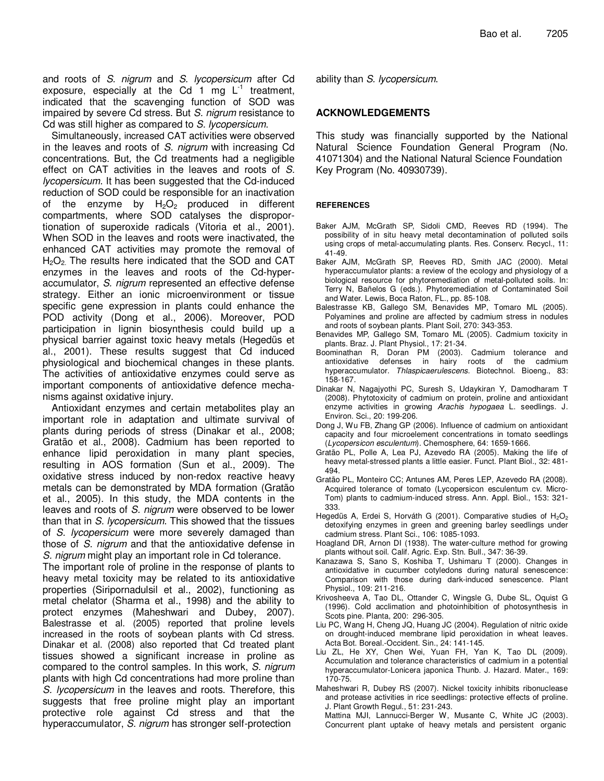and roots of S. nigrum and S. lycopersicum after Cd exposure, especially at the Cd 1 mg  $L^{-1}$  treatment, indicated that the scavenging function of SOD was impaired by severe Cd stress. But S. nigrum resistance to Cd was still higher as compared to S. lycopersicum.

Simultaneously, increased CAT activities were observed in the leaves and roots of S. nigrum with increasing Cd concentrations. But, the Cd treatments had a negligible effect on CAT activities in the leaves and roots of S. lycopersicum. It has been suggested that the Cd-induced reduction of SOD could be responsible for an inactivation of the enzyme by  $H_2O_2$  produced in different compartments, where SOD catalyses the disproportionation of superoxide radicals (Vitoria et al., 2001). When SOD in the leaves and roots were inactivated, the enhanced CAT activities may promote the removal of  $H<sub>2</sub>O<sub>2</sub>$ . The results here indicated that the SOD and CAT enzymes in the leaves and roots of the Cd-hyperaccumulator, S. nigrum represented an effective defense strategy. Either an ionic microenvironment or tissue specific gene expression in plants could enhance the POD activity (Dong et al., 2006). Moreover, POD participation in lignin biosynthesis could build up a physical barrier against toxic heavy metals (Hegedüs et al., 2001). These results suggest that Cd induced physiological and biochemical changes in these plants. The activities of antioxidative enzymes could serve as important components of antioxidative defence mechanisms against oxidative injury.

Antioxidant enzymes and certain metabolites play an important role in adaptation and ultimate survival of plants during periods of stress (Dinakar et al., 2008; Gratão et al., 2008). Cadmium has been reported to enhance lipid peroxidation in many plant species, resulting in AOS formation (Sun et al., 2009). The oxidative stress induced by non-redox reactive heavy metals can be demonstrated by MDA formation (Gratão et al., 2005). In this study, the MDA contents in the leaves and roots of S. nigrum were observed to be lower than that in S. lycopersicum. This showed that the tissues of S. lycopersicum were more severely damaged than those of S. nigrum and that the antioxidative defense in S. nigrum might play an important role in Cd tolerance.

The important role of proline in the response of plants to heavy metal toxicity may be related to its antioxidative properties (Siripornadulsil et al., 2002), functioning as metal chelator (Sharma et al., 1998) and the ability to protect enzymes (Maheshwari and Dubey, 2007). Balestrasse et al. (2005) reported that proline levels increased in the roots of soybean plants with Cd stress. Dinakar et al. (2008) also reported that Cd treated plant tissues showed a significant increase in proline as compared to the control samples. In this work, S. nigrum plants with high Cd concentrations had more proline than S. *lycopersicum* in the leaves and roots. Therefore, this suggests that free proline might play an important protective role against Cd stress and that the hyperaccumulator, S. nigrum has stronger self-protection

ability than S. lycopersicum.

## **ACKNOWLEDGEMENTS**

This study was financially supported by the National Natural Science Foundation General Program (No. 41071304) and the National Natural Science Foundation Key Program (No. 40930739).

## **REFERENCES**

- Baker AJM, McGrath SP, Sidoli CMD, Reeves RD (1994). The possibility of in situ heavy metal decontamination of polluted soils using crops of metal-accumulating plants. Res. Conserv. Recycl., 11: 41-49.
- Baker AJM, McGrath SP, Reeves RD, Smith JAC (2000). Metal hyperaccumulator plants: a review of the ecology and physiology of a biological resource for phytoremediation of metal-polluted soils. In: Terry N, Bañelos G (eds.). Phytoremediation of Contaminated Soil and Water. Lewis, Boca Raton, FL., pp. 85-108.
- Balestrasse KB, Gallego SM, Benavides MP, Tomaro ML (2005). Polyamines and proline are affected by cadmium stress in nodules and roots of soybean plants. Plant Soil, 270: 343-353.
- Benavides MP, Gallego SM, Tomaro ML (2005). Cadmium toxicity in plants. Braz. J. Plant Physiol., 17: 21-34.
- Boominathan R, Doran PM (2003). Cadmium tolerance and antioxidative defenses in hairy roots of the cadmium hyperaccumulator. Thlaspicaerulescens. Biotechnol. Bioeng., 83: 158-167.
- Dinakar N, Nagajyothi PC, Suresh S, Udaykiran Y, Damodharam T (2008). Phytotoxicity of cadmium on protein, proline and antioxidant enzyme activities in growing Arachis hypogaea L. seedlings. J. Environ. Sci., 20: 199-206.
- Dong J, Wu FB, Zhang GP (2006). Influence of cadmium on antioxidant capacity and four microelement concentrations in tomato seedlings (Lycopersicon esculentum). Chemosphere, 64: 1659-1666.
- Gratão PL, Polle A, Lea PJ, Azevedo RA (2005). Making the life of heavy metal-stressed plants a little easier. Funct. Plant Biol., 32: 481- 494.
- Gratão PL, Monteiro CC; Antunes AM, Peres LEP, Azevedo RA (2008). Acquired tolerance of tomato (Lycopersicon esculentum cv. Micro-Tom) plants to cadmium-induced stress. Ann. Appl. Biol., 153: 321- 333.
- Hegedüs A, Erdei S, Horváth G (2001). Comparative studies of  $H_2O_2$ detoxifying enzymes in green and greening barley seedlings under cadmium stress. Plant Sci., 106: 1085-1093.
- Hoagland DR, Arnon DI (1938). The water-culture method for growing plants without soil. Calif. Agric. Exp. Stn. Bull., 347: 36-39.
- Kanazawa S, Sano S, Koshiba T, Ushimaru T (2000). Changes in antioxidative in cucumber cotyledons during natural senescence: Comparison with those during dark-induced senescence. Plant Physiol., 109: 211-216.
- Krivosheeva A, Tao DL, Ottander C, Wingsle G, Dube SL, Oquist G (1996). Cold acclimation and photoinhibition of photosynthesis in Scots pine. Planta, 200: 296-305.
- Liu PC, Wang H, Cheng JQ, Huang JC (2004). Regulation of nitric oxide on drought-induced membrane lipid peroxidation in wheat leaves. Acta Bot. Boreal.-Occident. Sin., 24: 141-145.
- Liu ZL, He XY, Chen Wei, Yuan FH, Yan K, Tao DL (2009). Accumulation and tolerance characteristics of cadmium in a potential hyperaccumulator-Lonicera japonica Thunb. J. Hazard. Mater., 169: 170-75.
- Maheshwari R, Dubey RS (2007). Nickel toxicity inhibits ribonuclease and protease activities in rice seedlings: protective effects of proline. J. Plant Growth Regul., 51: 231-243.
- Mattina MJI, Lannucci-Berger W, Musante C, White JC (2003). Concurrent plant uptake of heavy metals and persistent organic